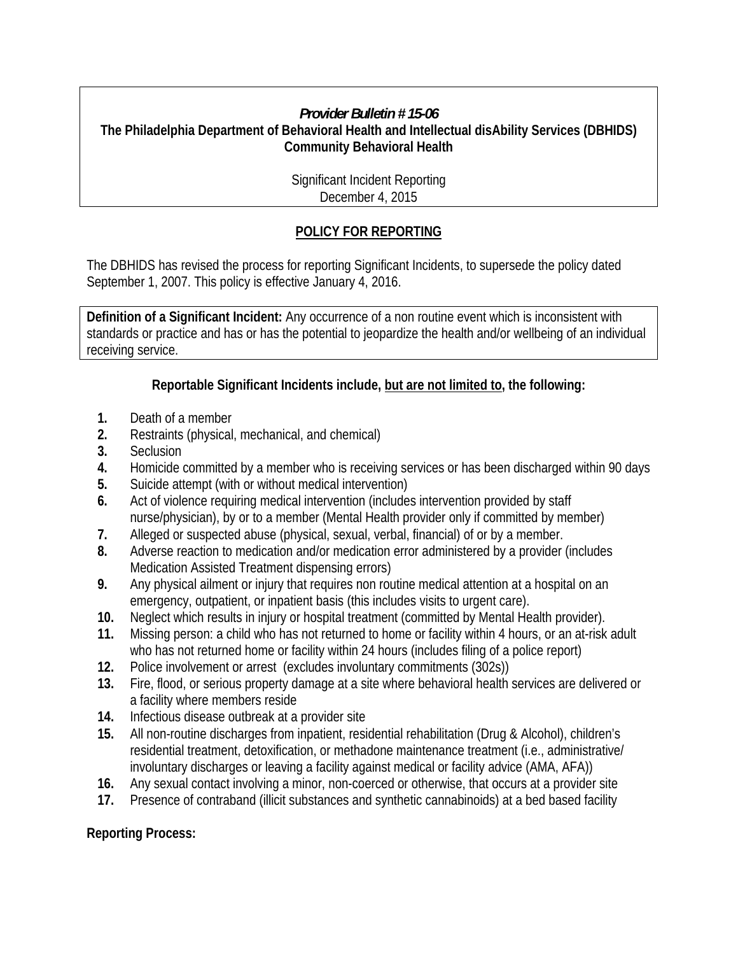### *Provider Bulletin # 15-06*

#### **The Philadelphia Department of Behavioral Health and Intellectual disAbility Services (DBHIDS) Community Behavioral Health**

 Significant Incident Reporting December 4, 2015

# **POLICY FOR REPORTING**

The DBHIDS has revised the process for reporting Significant Incidents, to supersede the policy dated September 1, 2007. This policy is effective January 4, 2016.

**Definition of a Significant Incident:** Any occurrence of a non routine event which is inconsistent with standards or practice and has or has the potential to jeopardize the health and/or wellbeing of an individual receiving service.

## **Reportable Significant Incidents include, but are not limited to, the following:**

- **1.** Death of a member
- **2.** Restraints (physical, mechanical, and chemical)
- **3.** Seclusion
- **4.** Homicide committed by a member who is receiving services or has been discharged within 90 days
- **5.** Suicide attempt (with or without medical intervention)
- **6.** Act of violence requiring medical intervention (includes intervention provided by staff nurse/physician), by or to a member (Mental Health provider only if committed by member)
- **7.** Alleged or suspected abuse (physical, sexual, verbal, financial) of or by a member.
- **8.** Adverse reaction to medication and/or medication error administered by a provider (includes Medication Assisted Treatment dispensing errors)
- **9.** Any physical ailment or injury that requires non routine medical attention at a hospital on an emergency, outpatient, or inpatient basis (this includes visits to urgent care).
- **10.** Neglect which results in injury or hospital treatment (committed by Mental Health provider).
- **11.** Missing person: a child who has not returned to home or facility within 4 hours, or an at-risk adult who has not returned home or facility within 24 hours (includes filing of a police report)
- **12.** Police involvement or arrest (excludes involuntary commitments (302s))
- **13.** Fire, flood, or serious property damage at a site where behavioral health services are delivered or a facility where members reside
- **14.** Infectious disease outbreak at a provider site
- **15.** All non-routine discharges from inpatient, residential rehabilitation (Drug & Alcohol), children's residential treatment, detoxification, or methadone maintenance treatment (i.e., administrative/ involuntary discharges or leaving a facility against medical or facility advice (AMA, AFA))
- **16.** Any sexual contact involving a minor, non-coerced or otherwise, that occurs at a provider site
- **17.** Presence of contraband (illicit substances and synthetic cannabinoids) at a bed based facility

#### **Reporting Process:**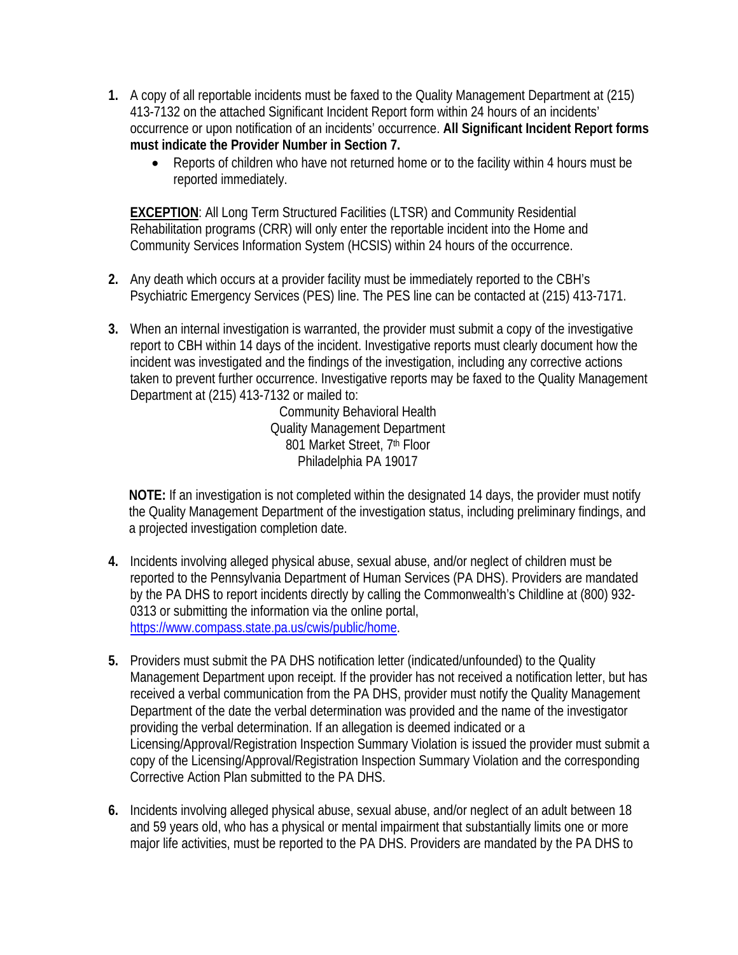- **1.** A copy of all reportable incidents must be faxed to the Quality Management Department at (215) 413-7132 on the attached Significant Incident Report form within 24 hours of an incidents' occurrence or upon notification of an incidents' occurrence. **All Significant Incident Report forms must indicate the Provider Number in Section 7.**
	- Reports of children who have not returned home or to the facility within 4 hours must be reported immediately.

**EXCEPTION**: All Long Term Structured Facilities (LTSR) and Community Residential Rehabilitation programs (CRR) will only enter the reportable incident into the Home and Community Services Information System (HCSIS) within 24 hours of the occurrence.

- **2.** Any death which occurs at a provider facility must be immediately reported to the CBH's Psychiatric Emergency Services (PES) line. The PES line can be contacted at (215) 413-7171.
- **3.** When an internal investigation is warranted, the provider must submit a copy of the investigative report to CBH within 14 days of the incident. Investigative reports must clearly document how the incident was investigated and the findings of the investigation, including any corrective actions taken to prevent further occurrence. Investigative reports may be faxed to the Quality Management Department at (215) 413-7132 or mailed to:

Community Behavioral Health Quality Management Department 801 Market Street, 7th Floor Philadelphia PA 19017

**NOTE:** If an investigation is not completed within the designated 14 days, the provider must notify the Quality Management Department of the investigation status, including preliminary findings, and a projected investigation completion date.

- **4.** Incidents involving alleged physical abuse, sexual abuse, and/or neglect of children must be reported to the Pennsylvania Department of Human Services (PA DHS). Providers are mandated by the PA DHS to report incidents directly by calling the Commonwealth's Childline at (800) 932- 0313 or submitting the information via the online portal, https://www.compass.state.pa.us/cwis/public/home.
- **5.** Providers must submit the PA DHS notification letter (indicated/unfounded) to the Quality Management Department upon receipt. If the provider has not received a notification letter, but has received a verbal communication from the PA DHS, provider must notify the Quality Management Department of the date the verbal determination was provided and the name of the investigator providing the verbal determination. If an allegation is deemed indicated or a Licensing/Approval/Registration Inspection Summary Violation is issued the provider must submit a copy of the Licensing/Approval/Registration Inspection Summary Violation and the corresponding Corrective Action Plan submitted to the PA DHS.
- **6.** Incidents involving alleged physical abuse, sexual abuse, and/or neglect of an adult between 18 and 59 years old, who has a physical or mental impairment that substantially limits one or more major life activities, must be reported to the PA DHS. Providers are mandated by the PA DHS to